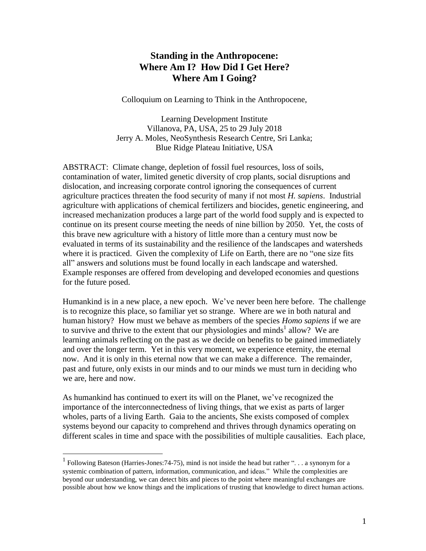# **Standing in the Anthropocene: Where Am I? How Did I Get Here? Where Am I Going?**

Colloquium on Learning to Think in the Anthropocene,

Learning Development Institute Villanova, PA, USA, 25 to 29 July 2018 Jerry A. Moles, NeoSynthesis Research Centre, Sri Lanka; Blue Ridge Plateau Initiative, USA

ABSTRACT: Climate change, depletion of fossil fuel resources, loss of soils, contamination of water, limited genetic diversity of crop plants, social disruptions and dislocation, and increasing corporate control ignoring the consequences of current agriculture practices threaten the food security of many if not most *H. sapiens*. Industrial agriculture with applications of chemical fertilizers and biocides, genetic engineering, and increased mechanization produces a large part of the world food supply and is expected to continue on its present course meeting the needs of nine billion by 2050. Yet, the costs of this brave new agriculture with a history of little more than a century must now be evaluated in terms of its sustainability and the resilience of the landscapes and watersheds where it is practiced. Given the complexity of Life on Earth, there are no "one size fits all" answers and solutions must be found locally in each landscape and watershed. Example responses are offered from developing and developed economies and questions for the future posed.

Humankind is in a new place, a new epoch. We've never been here before. The challenge is to recognize this place, so familiar yet so strange. Where are we in both natural and human history? How must we behave as members of the species *Homo sapiens* if we are to survive and thrive to the extent that our physiologies and minds<sup>1</sup> allow? We are learning animals reflecting on the past as we decide on benefits to be gained immediately and over the longer term. Yet in this very moment, we experience eternity, the eternal now. And it is only in this eternal now that we can make a difference. The remainder, past and future, only exists in our minds and to our minds we must turn in deciding who we are, here and now.

As humankind has continued to exert its will on the Planet, we've recognized the importance of the interconnectedness of living things, that we exist as parts of larger wholes, parts of a living Earth. Gaia to the ancients, She exists composed of complex systems beyond our capacity to comprehend and thrives through dynamics operating on different scales in time and space with the possibilities of multiple causalities. Each place,

<sup>1</sup> Following Bateson (Harries-Jones:74-75), mind is not inside the head but rather ". . . a synonym for a systemic combination of pattern, information, communication, and ideas." While the complexities are beyond our understanding, we can detect bits and pieces to the point where meaningful exchanges are possible about how we know things and the implications of trusting that knowledge to direct human actions.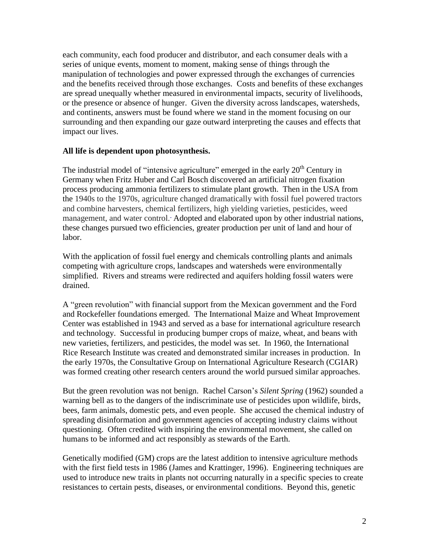each community, each food producer and distributor, and each consumer deals with a series of unique events, moment to moment, making sense of things through the manipulation of technologies and power expressed through the exchanges of currencies and the benefits received through those exchanges. Costs and benefits of these exchanges are spread unequally whether measured in environmental impacts, security of livelihoods, or the presence or absence of hunger. Given the diversity across landscapes, watersheds, and continents, answers must be found where we stand in the moment focusing on our surrounding and then expanding our gaze outward interpreting the causes and effects that impact our lives.

# **All life is dependent upon photosynthesis.**

The industrial model of "intensive agriculture" emerged in the early  $20<sup>th</sup>$  Century in Germany when Fritz Huber and Carl Bosch discovered an artificial nitrogen fixation process producing ammonia fertilizers to stimulate plant growth. Then in the USA from the 1940s to the 1970s, agriculture changed dramatically with fossil fuel powered tractors and combine harvesters, chemical fertilizers, high yielding varieties, pesticides, weed management, and water control. Adopted and elaborated upon by other industrial nations, these changes pursued two efficiencies, greater production per unit of land and hour of labor.

With the application of fossil fuel energy and chemicals controlling plants and animals competing with agriculture crops, landscapes and watersheds were environmentally simplified. Rivers and streams were redirected and aquifers holding fossil waters were drained.

A "green revolution" with financial support from the Mexican government and the Ford and Rockefeller foundations emerged. The International Maize and Wheat Improvement Center was established in 1943 and served as a base for international agriculture research and technology. Successful in producing bumper crops of maize, wheat, and beans with new varieties, fertilizers, and pesticides, the model was set. In 1960, the International Rice Research Institute was created and demonstrated similar increases in production. In the early 1970s, the Consultative Group on International Agriculture Research (CGIAR) was formed creating other research centers around the world pursued similar approaches.

But the green revolution was not benign. Rachel Carson's *Silent Spring* (1962) sounded a warning bell as to the dangers of the indiscriminate use of pesticides upon wildlife, birds, bees, farm animals, domestic pets, and even people. She accused the chemical industry of spreading disinformation and government agencies of accepting industry claims without questioning. Often credited with inspiring the environmental movement, she called on humans to be informed and act responsibly as stewards of the Earth.

Genetically modified (GM) crops are the latest addition to intensive agriculture methods with the first field tests in 1986 (James and Krattinger, 1996). Engineering techniques are used to introduce new traits in plants not occurring naturally in a specific species to create resistances to certain pests, diseases, or environmental conditions. Beyond this, genetic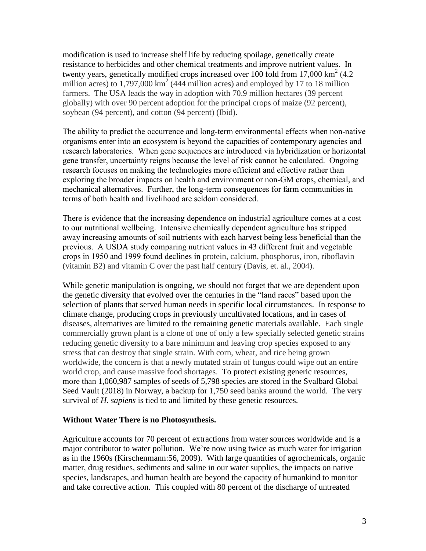modification is used to increase shelf life by reducing spoilage, genetically create resistance to herbicides and other chemical treatments and improve nutrient values. In twenty years, genetically modified crops increased over 100 fold from 17,000 km<sup>2</sup> (4.2) million acres) to  $1,797,000 \text{ km}^2$  (444 million acres) and employed by 17 to 18 million farmers. The USA leads the way in adoption with 70.9 million hectares (39 percent globally) with over 90 percent adoption for the principal crops of maize (92 percent), soybean (94 percent), and cotton (94 percent) (Ibid).

The ability to predict the occurrence and long-term environmental effects when non-native organisms enter into an ecosystem is beyond the capacities of contemporary agencies and research laboratories. When gene sequences are introduced via hybridization or horizontal gene transfer, uncertainty reigns because the level of risk cannot be calculated. Ongoing research focuses on making the technologies more efficient and effective rather than exploring the broader impacts on health and environment or non-GM crops, chemical, and mechanical alternatives. Further, the long-term consequences for farm communities in terms of both health and livelihood are seldom considered.

There is evidence that the increasing dependence on industrial agriculture comes at a cost to our nutritional wellbeing. Intensive chemically dependent agriculture has stripped away increasing amounts of soil nutrients with each harvest being less beneficial than the previous. A USDA study comparing nutrient values in 43 different fruit and vegetable crops in 1950 and 1999 found declines in protein, calcium, phosphorus, iron, riboflavin (vitamin B2) and vitamin C over the past half century (Davis, et. al., 2004).

While genetic manipulation is ongoing, we should not forget that we are dependent upon the genetic diversity that evolved over the centuries in the "land races" based upon the selection of plants that served human needs in specific local circumstances. In response to climate change, producing crops in previously uncultivated locations, and in cases of diseases, alternatives are limited to the remaining genetic materials available. Each single commercially grown plant is a clone of one of only a few specially selected genetic strains reducing genetic diversity to a bare minimum and leaving crop species exposed to any stress that can destroy that single strain. With corn, wheat, and rice being grown worldwide, the concern is that a newly mutated strain of fungus could wipe out an entire world crop, and cause massive food shortages. To protect existing generic resources, more than 1,060,987 samples of seeds of 5,798 species are stored in the Svalbard Global Seed Vault (2018) in Norway, a backup for 1,750 seed banks around the world. The very survival of *H. sapiens* is tied to and limited by these genetic resources.

#### **Without Water There is no Photosynthesis.**

Agriculture accounts for 70 percent of extractions from water sources worldwide and is a major contributor to water pollution. We're now using twice as much water for irrigation as in the 1960s (Kirschenmann:56, 2009). With large quantities of agrochemicals, organic matter, drug residues, sediments and saline in our water supplies, the impacts on native species, landscapes, and human health are beyond the capacity of humankind to monitor and take corrective action. This coupled with 80 percent of the discharge of untreated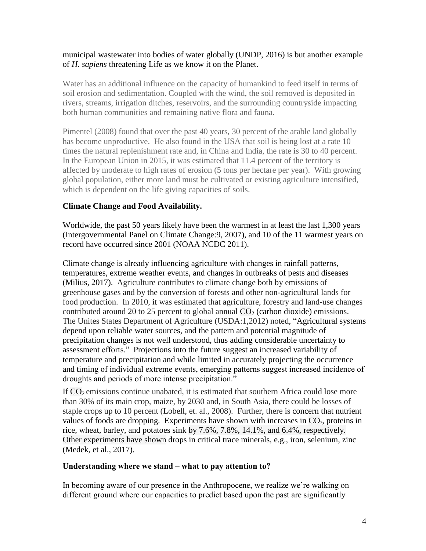#### municipal wastewater into bodies of water globally (UNDP, 2016) is but another example of *H. sapiens* threatening Life as we know it on the Planet.

Water has an additional influence on the capacity of humankind to feed itself in terms of soil erosion and sedimentation. Coupled with the wind, the soil removed is deposited in rivers, streams, irrigation ditches, reservoirs, and the surrounding countryside impacting both human communities and remaining native flora and fauna.

Pimentel (2008) found that over the past 40 years, 30 percent of the arable land globally has become unproductive. He also found in the USA that soil is being lost at a rate 10 times the natural replenishment rate and, in China and India, the rate is 30 to 40 percent. In the European Union in 2015, it was estimated that 11.4 percent of the territory is affected by moderate to high rates of erosion (5 tons per hectare per year). With growing global population, either more land must be cultivated or existing agriculture intensified, which is dependent on the life giving capacities of soils.

# **Climate Change and Food Availability.**

Worldwide, the past 50 years likely have been the warmest in at least the last 1,300 years (Intergovernmental Panel on Climate Change:9, 2007), and 10 of the 11 warmest years on record have occurred since 2001 (NOAA NCDC 2011).

Climate change is already influencing agriculture with changes in rainfall patterns, temperatures, extreme weather events, and changes in outbreaks of pests and diseases (Milius, 2017). Agriculture contributes to climate change both by emissions of greenhouse gases and by the conversion of forests and other non-agricultural lands for food production. In 2010, it was estimated that agriculture, forestry and land-use changes contributed around 20 to 25 percent to global annual  $CO<sub>2</sub>$  (carbon dioxide) emissions. The Unites States Department of Agriculture (USDA:1,2012) noted, "Agricultural systems depend upon reliable water sources, and the pattern and potential magnitude of precipitation changes is not well understood, thus adding considerable uncertainty to assessment efforts." Projections into the future suggest an increased variability of temperature and precipitation and while limited in accurately projecting the occurrence and timing of individual extreme events, emerging patterns suggest increased incidence of droughts and periods of more intense precipitation."

If  $CO<sub>2</sub>$  emissions continue unabated, it is estimated that southern Africa could lose more than 30% of its main crop, maize, by 2030 and, in South Asia, there could be losses of staple crops up to 10 percent (Lobell, et. al., 2008). Further, there is concern that nutrient values of foods are dropping. Experiments have shown with increases in  $CO<sub>2</sub>$ , proteins in rice, wheat, barley, and potatoes sink by 7.6%, 7.8%, 14.1%, and 6.4%, respectively. Other experiments have shown drops in critical trace minerals, e.g., iron, selenium, zinc (Medek, et al., 2017).

#### **Understanding where we stand – what to pay attention to?**

In becoming aware of our presence in the Anthropocene, we realize we're walking on different ground where our capacities to predict based upon the past are significantly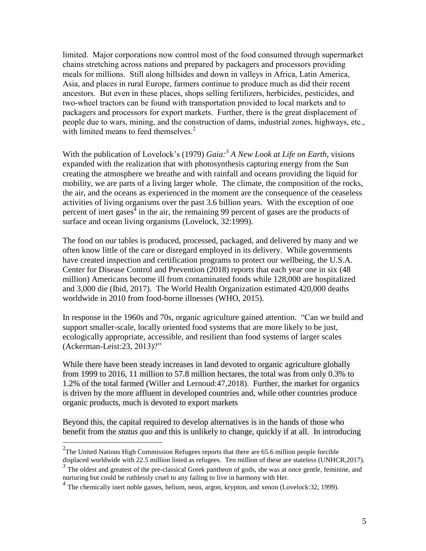limited. Major corporations now control most of the food consumed through supermarket chains stretching across nations and prepared by packagers and processors providing meals for millions. Still along hillsides and down in valleys in Africa, Latin America, Asia, and places in rural Europe, farmers continue to produce much as did their recent ancestors. But even in these places, shops selling fertilizers, herbicides, pesticides, and two-wheel tractors can be found with transportation provided to local markets and to packagers and processors for export markets. Further, there is the great displacement of people due to wars, mining, and the construction of dams, industrial zones, highways, etc., with limited means to feed themselves.<sup>2</sup>

With the publication of Lovelock's (1979) *Gaia:<sup>3</sup> A New Look at Life on Earth*, visions expanded with the realization that with photosynthesis capturing energy from the Sun creating the atmosphere we breathe and with rainfall and oceans providing the liquid for mobility, we are parts of a living larger whole. The climate, the composition of the rocks, the air, and the oceans as experienced in the moment are the consequence of the ceaseless activities of living organisms over the past 3.6 billion years. With the exception of one percent of inert gases<sup>4</sup> in the air, the remaining 99 percent of gases are the products of surface and ocean living organisms (Lovelock, 32:1999).

The food on our tables is produced, processed, packaged, and delivered by many and we often know little of the care or disregard employed in its delivery. While governments have created inspection and certification programs to protect our wellbeing, the U.S.A. Center for Disease Control and Prevention (2018) reports that each year one in six (48 million) Americans become ill from contaminated foods while 128,000 are hospitalized and 3,000 die (Ibid, 2017). The World Health Organization estimated 420,000 deaths worldwide in 2010 from food-borne illnesses (WHO, 2015).

In response in the 1960s and 70s, organic agriculture gained attention. "Can we build and support smaller-scale, locally oriented food systems that are more likely to be just, ecologically appropriate, accessible, and resilient than food systems of larger scales (Ackerman-Leist:23, 2013)?"

While there have been steady increases in land devoted to organic agriculture globally from 1999 to 2016, 11 million to 57.8 million hectares, the total was from only 0.3% to 1.2% of the total farmed (Willer and Lernoud:47,2018). Further, the market for organics is driven by the more affluent in developed countries and, while other countries produce organic products, much is devoted to export markets

Beyond this, the capital required to develop alternatives is in the hands of those who benefit from the *status quo* and this is unlikely to change, quickly if at all. In introducing

 $2$ The United Nations High Commission Refugees reports that there are 65.6 million people forcible displaced worldwide with 22.5 million listed as refugees. Ten million of these are stateless (UNHCR,2017).

<sup>&</sup>lt;sup>3</sup> The oldest and greatest of the pre-classical Greek pantheon of gods, she was at once gentle, feminine, and nurturing but could be ruthlessly cruel to any failing to live in harmony with Her.

<sup>&</sup>lt;sup>4</sup> The chemically inert noble gasses, helium, neon, argon, krypton, and xenon (Lovelock:32, 1999).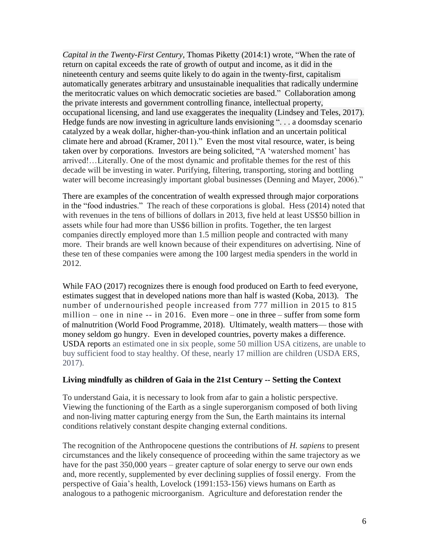*Capital in the Twenty-First Century*, Thomas Piketty (2014:1) wrote, "When the rate of return on capital exceeds the rate of growth of output and income, as it did in the nineteenth century and seems quite likely to do again in the twenty-first, capitalism automatically generates arbitrary and unsustainable inequalities that radically undermine the meritocratic values on which democratic societies are based." Collaboration among the private interests and government controlling finance, intellectual property, occupational licensing, and land use exaggerates the inequality (Lindsey and Teles, 2017). Hedge funds are now investing in agriculture lands envisioning ". . . a doomsday scenario catalyzed by a weak dollar, higher-than-you-think inflation and an uncertain political climate here and abroad (Kramer, 2011)." Even the most vital resource, water, is being taken over by corporations. Investors are being solicited, "A 'watershed moment' has arrived!…Literally. One of the most dynamic and profitable themes for the rest of this decade will be investing in water. Purifying, filtering, transporting, storing and bottling water will become increasingly important global businesses (Denning and Mayer, 2006)."

There are examples of the concentration of wealth expressed through major corporations in the "food industries." The reach of these corporations is global. Hess (2014) noted that with revenues in the tens of billions of dollars in 2013, five held at least US\$50 billion in assets while four had more than US\$6 billion in profits. Together, the ten largest companies directly employed more than 1.5 million people and contracted with many more. Their brands are well known because of their expenditures on advertising. Nine of these ten of these companies were among the 100 largest media spenders in the world in 2012.

While FAO (2017) recognizes there is enough food produced on Earth to feed everyone, estimates suggest that in developed nations more than half is wasted (Koba, 2013). The number of undernourished people increased from 777 million in 2015 to 815 million – one in nine -- in 2016. Even more – one in three – suffer from some form of malnutrition (World Food Programme, 2018). Ultimately, wealth matters— those with money seldom go hungry. Even in developed countries, poverty makes a difference. USDA reports an estimated one in six people, some 50 million USA citizens, are unable to buy sufficient food to stay healthy. Of these, nearly 17 million are children (USDA ERS, 2017).

# **Living mindfully as children of Gaia in the 21st Century -- Setting the Context**

To understand Gaia, it is necessary to look from afar to gain a holistic perspective. Viewing the functioning of the Earth as a single superorganism composed of both living and non-living matter capturing energy from the Sun, the Earth maintains its internal conditions relatively constant despite changing external conditions.

The recognition of the Anthropocene questions the contributions of *H. sapiens* to present circumstances and the likely consequence of proceeding within the same trajectory as we have for the past 350,000 years – greater capture of solar energy to serve our own ends and, more recently, supplemented by ever declining supplies of fossil energy. From the perspective of Gaia's health, Lovelock (1991:153-156) views humans on Earth as analogous to a pathogenic microorganism. Agriculture and deforestation render the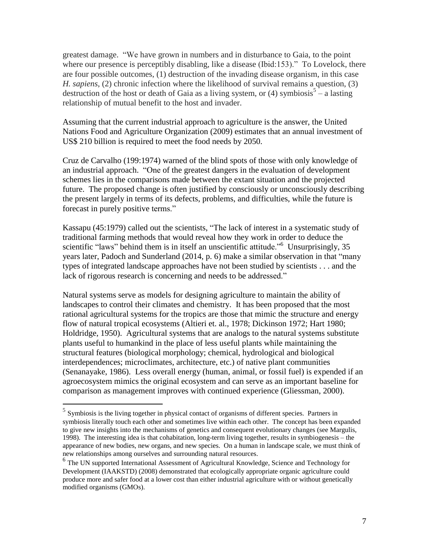greatest damage. "We have grown in numbers and in disturbance to Gaia, to the point where our presence is perceptibly disabling, like a disease (Ibid:153)." To Lovelock, there are four possible outcomes, (1) destruction of the invading disease organism, in this case *H. sapiens*, (2) chronic infection where the likelihood of survival remains a question, (3) destruction of the host or death of Gaia as a living system, or (4) symbiosis<sup>5</sup> – a lasting relationship of mutual benefit to the host and invader.

Assuming that the current industrial approach to agriculture is the answer, the United Nations Food and Agriculture Organization (2009) estimates that an annual investment of US\$ 210 billion is required to meet the food needs by 2050.

Cruz de Carvalho (199:1974) warned of the blind spots of those with only knowledge of an industrial approach. "One of the greatest dangers in the evaluation of development schemes lies in the comparisons made between the extant situation and the projected future. The proposed change is often justified by consciously or unconsciously describing the present largely in terms of its defects, problems, and difficulties, while the future is forecast in purely positive terms."

Kassapu (45:1979) called out the scientists, "The lack of interest in a systematic study of traditional farming methods that would reveal how they work in order to deduce the scientific "laws" behind them is in itself an unscientific attitude."<sup>6</sup> Unsurprisingly, 35 years later, Padoch and Sunderland (2014, p. 6) make a similar observation in that "many types of integrated landscape approaches have not been studied by scientists . . . and the lack of rigorous research is concerning and needs to be addressed."

Natural systems serve as models for designing agriculture to maintain the ability of landscapes to control their climates and chemistry. It has been proposed that the most rational agricultural systems for the tropics are those that mimic the structure and energy flow of natural tropical ecosystems (Altieri et. al., 1978; Dickinson 1972; Hart 1980; Holdridge, 1950). Agricultural systems that are analogs to the natural systems substitute plants useful to humankind in the place of less useful plants while maintaining the structural features (biological morphology; chemical, hydrological and biological interdependences; microclimates, architecture, etc.) of native plant communities (Senanayake, 1986). Less overall energy (human, animal, or fossil fuel) is expended if an agroecosystem mimics the original ecosystem and can serve as an important baseline for comparison as management improves with continued experience (Gliessman, 2000).

 5 Symbiosis is the living together in physical contact of organisms of different species. Partners in symbiosis literally touch each other and sometimes live within each other. The concept has been expanded to give new insights into the mechanisms of genetics and consequent evolutionary changes (see Margulis, 1998). The interesting idea is that cohabitation, long-term living together, results in symbiogenesis – the appearance of new bodies, new organs, and new species. On a human in landscape scale, we must think of new relationships among ourselves and surrounding natural resources.

<sup>&</sup>lt;sup>6</sup> The UN supported International Assessment of Agricultural Knowledge, Science and Technology for Development (IAAKSTD) (2008) demonstrated that ecologically appropriate organic agriculture could produce more and safer food at a lower cost than either industrial agriculture with or without genetically modified organisms (GMOs).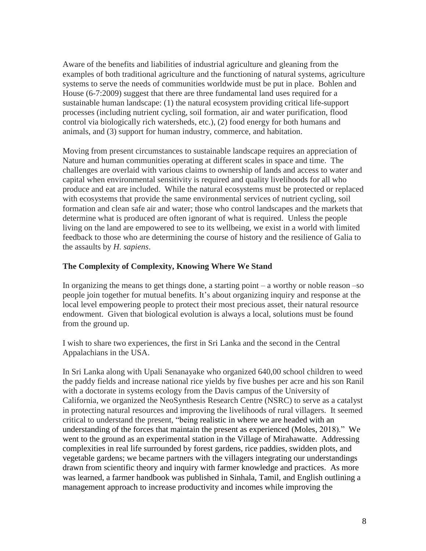Aware of the benefits and liabilities of industrial agriculture and gleaning from the examples of both traditional agriculture and the functioning of natural systems, agriculture systems to serve the needs of communities worldwide must be put in place. Bohlen and House (6-7:2009) suggest that there are three fundamental land uses required for a sustainable human landscape: (1) the natural ecosystem providing critical life-support processes (including nutrient cycling, soil formation, air and water purification, flood control via biologically rich watersheds, etc.), (2) food energy for both humans and animals, and (3) support for human industry, commerce, and habitation.

Moving from present circumstances to sustainable landscape requires an appreciation of Nature and human communities operating at different scales in space and time. The challenges are overlaid with various claims to ownership of lands and access to water and capital when environmental sensitivity is required and quality livelihoods for all who produce and eat are included. While the natural ecosystems must be protected or replaced with ecosystems that provide the same environmental services of nutrient cycling, soil formation and clean safe air and water; those who control landscapes and the markets that determine what is produced are often ignorant of what is required. Unless the people living on the land are empowered to see to its wellbeing, we exist in a world with limited feedback to those who are determining the course of history and the resilience of Galia to the assaults by *H. sapiens*.

# **The Complexity of Complexity, Knowing Where We Stand**

In organizing the means to get things done, a starting point – a worthy or noble reason –so people join together for mutual benefits. It's about organizing inquiry and response at the local level empowering people to protect their most precious asset, their natural resource endowment. Given that biological evolution is always a local, solutions must be found from the ground up.

I wish to share two experiences, the first in Sri Lanka and the second in the Central Appalachians in the USA.

In Sri Lanka along with Upali Senanayake who organized 640,00 school children to weed the paddy fields and increase national rice yields by five bushes per acre and his son Ranil with a doctorate in systems ecology from the Davis campus of the University of California, we organized the NeoSynthesis Research Centre (NSRC) to serve as a catalyst in protecting natural resources and improving the livelihoods of rural villagers. It seemed critical to understand the present, "being realistic in where we are headed with an understanding of the forces that maintain the present as experienced (Moles, 2018)." We went to the ground as an experimental station in the Village of Mirahawatte. Addressing complexities in real life surrounded by forest gardens, rice paddies, swidden plots, and vegetable gardens; we became partners with the villagers integrating our understandings drawn from scientific theory and inquiry with farmer knowledge and practices. As more was learned, a farmer handbook was published in Sinhala, Tamil, and English outlining a management approach to increase productivity and incomes while improving the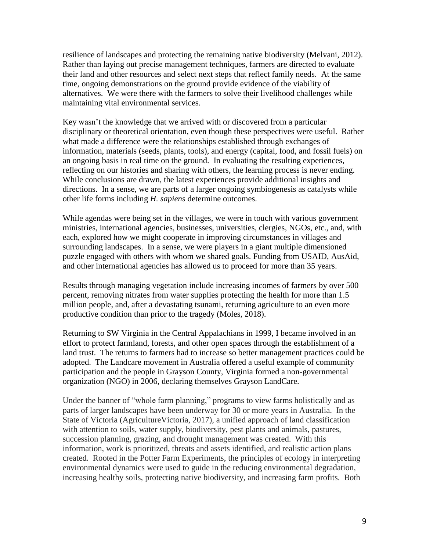resilience of landscapes and protecting the remaining native biodiversity (Melvani, 2012). Rather than laying out precise management techniques, farmers are directed to evaluate their land and other resources and select next steps that reflect family needs. At the same time, ongoing demonstrations on the ground provide evidence of the viability of alternatives. We were there with the farmers to solve their livelihood challenges while maintaining vital environmental services.

Key wasn't the knowledge that we arrived with or discovered from a particular disciplinary or theoretical orientation, even though these perspectives were useful. Rather what made a difference were the relationships established through exchanges of information, materials (seeds, plants, tools), and energy (capital, food, and fossil fuels) on an ongoing basis in real time on the ground. In evaluating the resulting experiences, reflecting on our histories and sharing with others, the learning process is never ending. While conclusions are drawn, the latest experiences provide additional insights and directions. In a sense, we are parts of a larger ongoing symbiogenesis as catalysts while other life forms including *H. sapiens* determine outcomes.

While agendas were being set in the villages, we were in touch with various government ministries, international agencies, businesses, universities, clergies, NGOs, etc., and, with each, explored how we might cooperate in improving circumstances in villages and surrounding landscapes. In a sense, we were players in a giant multiple dimensioned puzzle engaged with others with whom we shared goals. Funding from USAID, AusAid, and other international agencies has allowed us to proceed for more than 35 years.

Results through managing vegetation include increasing incomes of farmers by over 500 percent, removing nitrates from water supplies protecting the health for more than 1.5 million people, and, after a devastating tsunami, returning agriculture to an even more productive condition than prior to the tragedy (Moles, 2018).

Returning to SW Virginia in the Central Appalachians in 1999, I became involved in an effort to protect farmland, forests, and other open spaces through the establishment of a land trust. The returns to farmers had to increase so better management practices could be adopted. The Landcare movement in Australia offered a useful example of community participation and the people in Grayson County, Virginia formed a non-governmental organization (NGO) in 2006, declaring themselves Grayson LandCare.

Under the banner of "whole farm planning," programs to view farms holistically and as parts of larger landscapes have been underway for 30 or more years in Australia. In the State of Victoria (AgricultureVictoria, 2017), a unified approach of land classification with attention to soils, water supply, biodiversity, pest plants and animals, pastures, succession planning, grazing, and drought management was created. With this information, work is prioritized, threats and assets identified, and realistic action plans created. Rooted in the Potter Farm Experiments, the principles of ecology in interpreting environmental dynamics were used to guide in the reducing environmental degradation, increasing healthy soils, protecting native biodiversity, and increasing farm profits. Both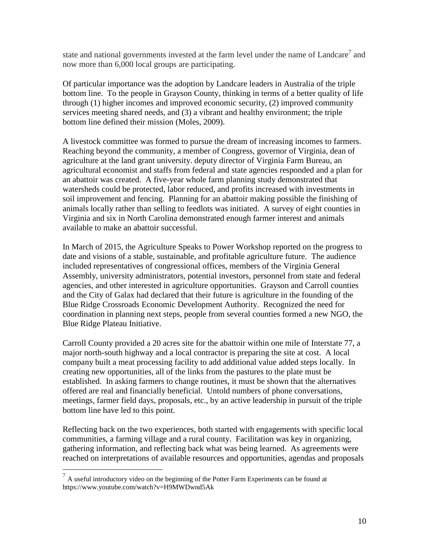state and national governments invested at the farm level under the name of  $Landare<sup>7</sup>$  and now more than 6,000 local groups are participating.

Of particular importance was the adoption by Landcare leaders in Australia of the triple bottom line. To the people in Grayson County, thinking in terms of a better quality of life through (1) higher incomes and improved economic security, (2) improved community services meeting shared needs, and (3) a vibrant and healthy environment; the triple bottom line defined their mission (Moles, 2009).

A livestock committee was formed to pursue the dream of increasing incomes to farmers. Reaching beyond the community, a member of Congress, governor of Virginia, dean of agriculture at the land grant university. deputy director of Virginia Farm Bureau, an agricultural economist and staffs from federal and state agencies responded and a plan for an abattoir was created. A five-year whole farm planning study demonstrated that watersheds could be protected, labor reduced, and profits increased with investments in soil improvement and fencing. Planning for an abattoir making possible the finishing of animals locally rather than selling to feedlots was initiated. A survey of eight counties in Virginia and six in North Carolina demonstrated enough farmer interest and animals available to make an abattoir successful.

In March of 2015, the Agriculture Speaks to Power Workshop reported on the progress to date and visions of a stable, sustainable, and profitable agriculture future. The audience included representatives of congressional offices, members of the Virginia General Assembly, university administrators, potential investors, personnel from state and federal agencies, and other interested in agriculture opportunities. Grayson and Carroll counties and the City of Galax had declared that their future is agriculture in the founding of the Blue Ridge Crossroads Economic Development Authority. Recognized the need for coordination in planning next steps, people from several counties formed a new NGO, the Blue Ridge Plateau Initiative.

Carroll County provided a 20 acres site for the abattoir within one mile of Interstate 77, a major north-south highway and a local contractor is preparing the site at cost. A local company built a meat processing facility to add additional value added steps locally. In creating new opportunities, all of the links from the pastures to the plate must be established. In asking farmers to change routines, it must be shown that the alternatives offered are real and financially beneficial. Untold numbers of phone conversations, meetings, farmer field days, proposals, etc., by an active leadership in pursuit of the triple bottom line have led to this point.

Reflecting back on the two experiences, both started with engagements with specific local communities, a farming village and a rural county. Facilitation was key in organizing, gathering information, and reflecting back what was being learned. As agreements were reached on interpretations of available resources and opportunities, agendas and proposals

 $<sup>7</sup>$  A useful introductory video on the beginning of the Potter Farm Experiments can be found at</sup> https://www.youtube.com/watch?v=H9MWDwnd5Ak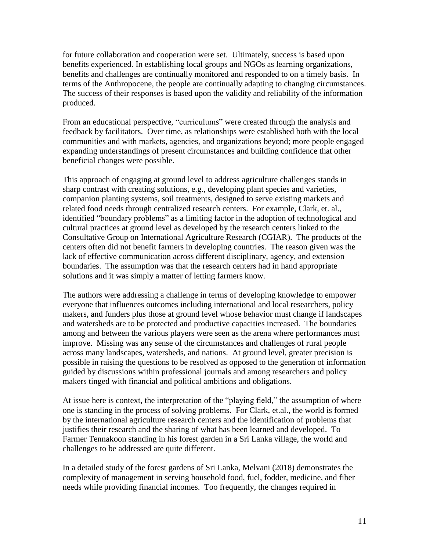for future collaboration and cooperation were set. Ultimately, success is based upon benefits experienced. In establishing local groups and NGOs as learning organizations, benefits and challenges are continually monitored and responded to on a timely basis. In terms of the Anthropocene, the people are continually adapting to changing circumstances. The success of their responses is based upon the validity and reliability of the information produced.

From an educational perspective, "curriculums" were created through the analysis and feedback by facilitators. Over time, as relationships were established both with the local communities and with markets, agencies, and organizations beyond; more people engaged expanding understandings of present circumstances and building confidence that other beneficial changes were possible.

This approach of engaging at ground level to address agriculture challenges stands in sharp contrast with creating solutions, e.g., developing plant species and varieties, companion planting systems, soil treatments, designed to serve existing markets and related food needs through centralized research centers. For example, Clark, et. al., identified "boundary problems" as a limiting factor in the adoption of technological and cultural practices at ground level as developed by the research centers linked to the Consultative Group on International Agriculture Research (CGIAR). The products of the centers often did not benefit farmers in developing countries. The reason given was the lack of effective communication across different disciplinary, agency, and extension boundaries. The assumption was that the research centers had in hand appropriate solutions and it was simply a matter of letting farmers know.

The authors were addressing a challenge in terms of developing knowledge to empower everyone that influences outcomes including international and local researchers, policy makers, and funders plus those at ground level whose behavior must change if landscapes and watersheds are to be protected and productive capacities increased. The boundaries among and between the various players were seen as the arena where performances must improve. Missing was any sense of the circumstances and challenges of rural people across many landscapes, watersheds, and nations. At ground level, greater precision is possible in raising the questions to be resolved as opposed to the generation of information guided by discussions within professional journals and among researchers and policy makers tinged with financial and political ambitions and obligations.

At issue here is context, the interpretation of the "playing field," the assumption of where one is standing in the process of solving problems. For Clark, et.al., the world is formed by the international agriculture research centers and the identification of problems that justifies their research and the sharing of what has been learned and developed. To Farmer Tennakoon standing in his forest garden in a Sri Lanka village, the world and challenges to be addressed are quite different.

In a detailed study of the forest gardens of Sri Lanka, Melvani (2018) demonstrates the complexity of management in serving household food, fuel, fodder, medicine, and fiber needs while providing financial incomes. Too frequently, the changes required in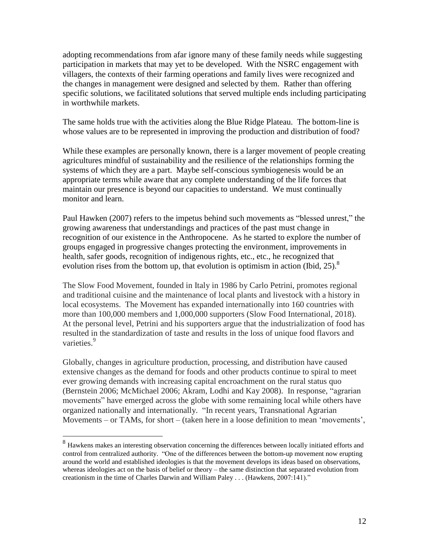adopting recommendations from afar ignore many of these family needs while suggesting participation in markets that may yet to be developed. With the NSRC engagement with villagers, the contexts of their farming operations and family lives were recognized and the changes in management were designed and selected by them. Rather than offering specific solutions, we facilitated solutions that served multiple ends including participating in worthwhile markets.

The same holds true with the activities along the Blue Ridge Plateau. The bottom-line is whose values are to be represented in improving the production and distribution of food?

While these examples are personally known, there is a larger movement of people creating agricultures mindful of sustainability and the resilience of the relationships forming the systems of which they are a part. Maybe self-conscious symbiogenesis would be an appropriate terms while aware that any complete understanding of the life forces that maintain our presence is beyond our capacities to understand. We must continually monitor and learn.

Paul Hawken (2007) refers to the impetus behind such movements as "blessed unrest," the growing awareness that understandings and practices of the past must change in recognition of our existence in the Anthropocene. As he started to explore the number of groups engaged in progressive changes protecting the environment, improvements in health, safer goods, recognition of indigenous rights, etc., etc., he recognized that evolution rises from the bottom up, that evolution is optimism in action (Ibid, 25).<sup>8</sup>

The Slow Food Movement, founded in Italy in 1986 by Carlo Petrini, promotes regional and traditional cuisine and the maintenance of local plants and livestock with a history in local ecosystems. The Movement has expanded internationally into 160 countries with more than 100,000 members and 1,000,000 supporters (Slow Food International, 2018). At the personal level, Petrini and his supporters argue that the industrialization of food has resulted in the standardization of taste and results in the loss of unique food flavors and varieties.<sup>9</sup>

Globally, changes in agriculture production, processing, and distribution have caused extensive changes as the demand for foods and other products continue to spiral to meet ever growing demands with increasing capital encroachment on the rural status quo (Bernstein 2006; McMichael 2006; Akram, Lodhi and Kay 2008). In response, "agrarian movements" have emerged across the globe with some remaining local while others have organized nationally and internationally. "In recent years, Transnational Agrarian Movements – or TAMs, for short – (taken here in a loose definition to mean 'movements',

<sup>&</sup>lt;sup>8</sup> Hawkens makes an interesting observation concerning the differences between locally initiated efforts and control from centralized authority. "One of the differences between the bottom-up movement now erupting around the world and established ideologies is that the movement develops its ideas based on observations, whereas ideologies act on the basis of belief or theory – the same distinction that separated evolution from creationism in the time of Charles Darwin and William Paley . . . (Hawkens, 2007:141)."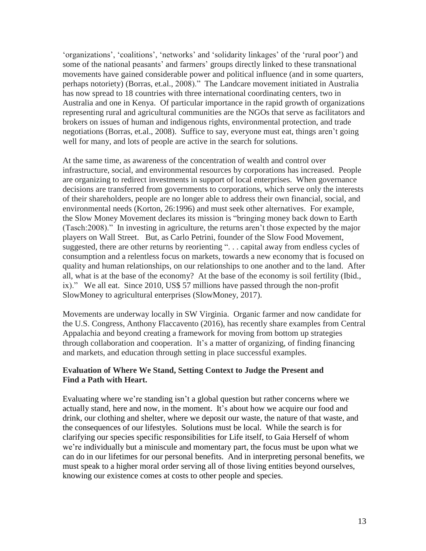'organizations', 'coalitions', 'networks' and 'solidarity linkages' of the 'rural poor') and some of the national peasants' and farmers' groups directly linked to these transnational movements have gained considerable power and political influence (and in some quarters, perhaps notoriety) (Borras, et.al., 2008)." The Landcare movement initiated in Australia has now spread to 18 countries with three international coordinating centers, two in Australia and one in Kenya. Of particular importance in the rapid growth of organizations representing rural and agricultural communities are the NGOs that serve as facilitators and brokers on issues of human and indigenous rights, environmental protection, and trade negotiations (Borras, et.al., 2008). Suffice to say, everyone must eat, things aren't going well for many, and lots of people are active in the search for solutions.

At the same time, as awareness of the concentration of wealth and control over infrastructure, social, and environmental resources by corporations has increased. People are organizing to redirect investments in support of local enterprises. When governance decisions are transferred from governments to corporations, which serve only the interests of their shareholders, people are no longer able to address their own financial, social, and environmental needs (Korton, 26:1996) and must seek other alternatives. For example, the Slow Money Movement declares its mission is "bringing money back down to Earth (Tasch:2008)." In investing in agriculture, the returns aren't those expected by the major players on Wall Street. But, as Carlo Petrini, founder of the Slow Food Movement, suggested, there are other returns by reorienting "... capital away from endless cycles of consumption and a relentless focus on markets, towards a new economy that is focused on quality and human relationships, on our relationships to one another and to the land. After all, what is at the base of the economy? At the base of the economy is soil fertility (Ibid., ix)." We all eat. Since 2010, US\$ 57 millions have passed through the non-profit SlowMoney to agricultural enterprises (SlowMoney, 2017).

Movements are underway locally in SW Virginia. Organic farmer and now candidate for the U.S. Congress, Anthony Flaccavento (2016), has recently share examples from Central Appalachia and beyond creating a framework for moving from bottom up strategies through collaboration and cooperation. It's a matter of organizing, of finding financing and markets, and education through setting in place successful examples.

#### **Evaluation of Where We Stand, Setting Context to Judge the Present and Find a Path with Heart.**

Evaluating where we're standing isn't a global question but rather concerns where we actually stand, here and now, in the moment. It's about how we acquire our food and drink, our clothing and shelter, where we deposit our waste, the nature of that waste, and the consequences of our lifestyles. Solutions must be local. While the search is for clarifying our species specific responsibilities for Life itself, to Gaia Herself of whom we're individually but a miniscule and momentary part, the focus must be upon what we can do in our lifetimes for our personal benefits. And in interpreting personal benefits, we must speak to a higher moral order serving all of those living entities beyond ourselves, knowing our existence comes at costs to other people and species.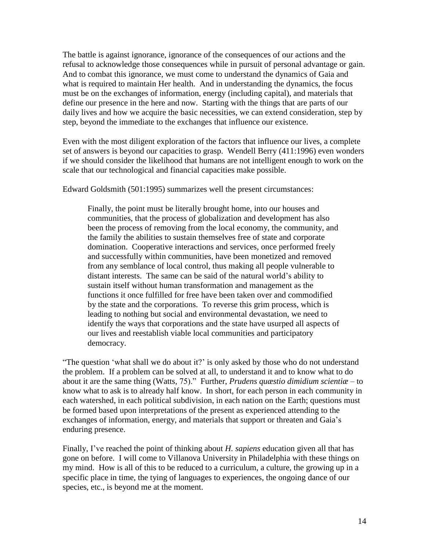The battle is against ignorance, ignorance of the consequences of our actions and the refusal to acknowledge those consequences while in pursuit of personal advantage or gain. And to combat this ignorance, we must come to understand the dynamics of Gaia and what is required to maintain Her health. And in understanding the dynamics, the focus must be on the exchanges of information, energy (including capital), and materials that define our presence in the here and now. Starting with the things that are parts of our daily lives and how we acquire the basic necessities, we can extend consideration, step by step, beyond the immediate to the exchanges that influence our existence.

Even with the most diligent exploration of the factors that influence our lives, a complete set of answers is beyond our capacities to grasp. Wendell Berry (411:1996) even wonders if we should consider the likelihood that humans are not intelligent enough to work on the scale that our technological and financial capacities make possible.

Edward Goldsmith (501:1995) summarizes well the present circumstances:

Finally, the point must be literally brought home, into our houses and communities, that the process of globalization and development has also been the process of removing from the local economy, the community, and the family the abilities to sustain themselves free of state and corporate domination. Cooperative interactions and services, once performed freely and successfully within communities, have been monetized and removed from any semblance of local control, thus making all people vulnerable to distant interests. The same can be said of the natural world's ability to sustain itself without human transformation and management as the functions it once fulfilled for free have been taken over and commodified by the state and the corporations. To reverse this grim process, which is leading to nothing but social and environmental devastation, we need to identify the ways that corporations and the state have usurped all aspects of our lives and reestablish viable local communities and participatory democracy.

"The question 'what shall we do about it?' is only asked by those who do not understand the problem. If a problem can be solved at all, to understand it and to know what to do about it are the same thing (Watts, 75)." Further, *Prudens quæstio dimidium scientiæ* – to know what to ask is to already half know. In short, for each person in each community in each watershed, in each political subdivision, in each nation on the Earth; questions must be formed based upon interpretations of the present as experienced attending to the exchanges of information, energy, and materials that support or threaten and Gaia's enduring presence.

Finally, I've reached the point of thinking about *H. sapiens* education given all that has gone on before. I will come to Villanova University in Philadelphia with these things on my mind. How is all of this to be reduced to a curriculum, a culture, the growing up in a specific place in time, the tying of languages to experiences, the ongoing dance of our species, etc., is beyond me at the moment.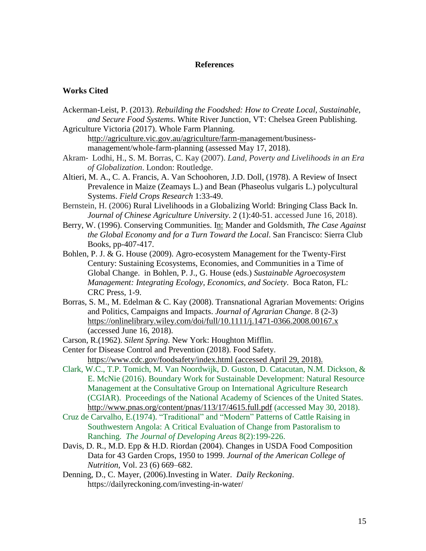#### **References**

#### **Works Cited**

- Ackerman-Leist, P. (2013). *Rebuilding the Foodshed: How to Create Local, Sustainable, and Secure Food Systems*. White River Junction, VT: Chelsea Green Publishing.
- Agriculture Victoria (2017). Whole Farm Planning. [http://agriculture.vic.gov.au/agriculture/farm-ma](ttp://agriculture.vic.gov.au/agriculture/farm-m)nagement/businessmanagement/whole-farm-planning (assessed May 17, 2018).
- Akram‐ Lodhi, H., S. M. Borras, C. Kay (2007). *Land, Poverty and Livelihoods in an Era of Globalization*. London: Routledge.
- Altieri, M. A., C. A. Francis, A. Van Schoohoren, J.D. Doll, (1978). A Review of Insect Prevalence in Maize (Zeamays L.) and Bean (Phaseolus vulgaris L.) polycultural Systems. *Field Crops Research* 1:33-49.
- Bernstein, H. (2006) Rural Livelihoods in a Globalizing World: Bringing Class Back In. *Journal of Chinese Agriculture University*. 2 (1):40-51. accessed June 16, 2018).
- Berry, W. (1996). Conserving Communities. In: Mander and Goldsmith, *The Case Against the Global Economy and for a Turn Toward the Local*. San Francisco: Sierra Club Books, pp-407-417.
- Bohlen, P. J. & G. House (2009). Agro-ecosystem Management for the Twenty-First Century: Sustaining Ecosystems, Economies, and Communities in a Time of Global Change. in Bohlen, P. J., G. House (eds.) *Sustainable Agroecosystem Management: Integrating Ecology, Economics, and Society*. Boca Raton, FL: CRC Press, 1-9.
- Borras, S. M., M. Edelman & C. Kay (2008). Transnational Agrarian Movements: Origins and Politics, Campaigns and Impacts. *Journal of Agrarian Change*. 8 (2-3) <https://onlinelibrary.wiley.com/doi/full/10.1111/j.1471-0366.2008.00167.x> (accessed June 16, 2018).
- Carson, R.(1962). *Silent Spring*. New York: Houghton Mifflin.
- Center for Disease Control and Prevention (2018). Food Safety. <https://www.cdc.gov/foodsafety/index.html> (accessed April 29, 2018).
- Clark, W.C., T.P. Tomich, M. Van Noordwijk, D. Guston, D. Catacutan, N.M. Dickson, & E. McNie (2016). Boundary Work for Sustainable Development: Natural Resource Management at the Consultative Group on International Agriculture Research (CGIAR). Proceedings of the National Academy of Sciences of the United States. <http://www.pnas.org/content/pnas/113/17/4615.full.pdf> (accessed May 30, 2018).
- Cruz de Carvalho, E.(1974). "Traditional" and "Modern" Patterns of Cattle Raising in Southwestern Angola: A Critical Evaluation of Change from Pastoralism to Ranching. *The Journal of Developing Areas* 8(2):199-226.
- Davis, D. R., M.D. Epp & H.D. Riordan (2004). Changes in USDA Food Composition Data for 43 Garden Crops, 1950 to 1999. *Journal of the American College of Nutrition,* Vol. 23 (6) 669–682.
- Denning, D., C. Mayer, (2006).Investing in Water. *Daily Reckoning*. https://dailyreckoning.com/investing-in-water/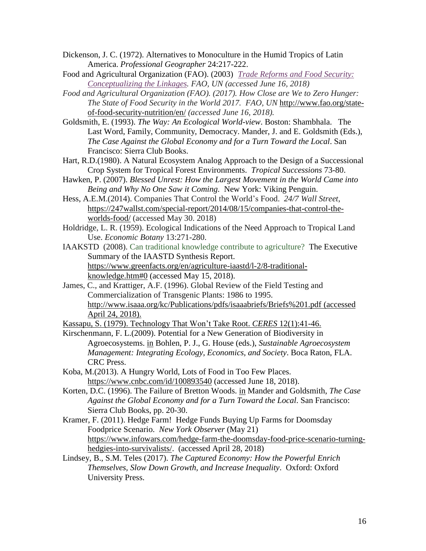- Dickenson, J. C. (1972). Alternatives to Monoculture in the Humid Tropics of Latin America. *Professional Geographer* 24:217-222.
- Food and Agricultural Organization (FAO). (2003) *Trade Reforms and Food [Security:](http://www.fao.org/docrep/005/y4671e/y4671e06.htm) [Conceptualizing](http://www.fao.org/docrep/005/y4671e/y4671e06.htm) the Linkages. FAO, UN (accessed June 16, 2018)*
- *Food and Agricultural Organization (FAO). (2017). How Close are We to Zero Hunger: The State of Food Security in the World 2017. FAO, UN* [http://www.fao.org/state](http://www.fao.org/state-of-food-security-nutrition/en/)[of-food-security-nutrition/en/](http://www.fao.org/state-of-food-security-nutrition/en/) *(accessed June 16, 2018).*
- Goldsmith, E. (1993). *The Way: An Ecological World-view*. Boston: Shambhala. The Last Word, Family, Community, Democracy. Mander, J. and E. Goldsmith (Eds.), *The Case Against the Global Economy and for a Turn Toward the Local*. San Francisco: Sierra Club Books.
- Hart, R.D.(1980). A Natural Ecosystem Analog Approach to the Design of a Successional Crop System for Tropical Forest Environments. *Tropical Successions* 73-80.
- Hawken, P. (2007). *Blessed Unrest: How the Largest Movement in the World Came into Being and Why No One Saw it Coming.* New York: Viking Penguin.
- Hess, A.E.M.(2014). Companies That Control the World's Food. *24/7 Wall Street*, [https://247wallst.com/special-report/2014/08/15/companies-that-control-the](https://247wallst.com/special-report/2014/08/15/companies-that-control-the-worlds-food/)[worlds-food/](https://247wallst.com/special-report/2014/08/15/companies-that-control-the-worlds-food/) (accessed May 30. 2018)
- Holdridge, L. R. (1959). Ecological Indications of the Need Approach to Tropical Land Use. *Economic Botany* 13:271-280.
- IAAKSTD (2008). Can traditional knowledge contribute to agriculture? The Executive Summary of the IAASTD Synthesis Report. [https://www.greenfacts.org/en/agriculture-iaastd/l-2/8-traditional](https://www.greenfacts.org/en/agriculture-iaastd/l-2/8-traditional-knowledge.htm#0)[knowledge.htm#0](https://www.greenfacts.org/en/agriculture-iaastd/l-2/8-traditional-knowledge.htm#0) (accessed May 15, 2018).
- James, C., and Krattiger, A.F. (1996). Global Review of the Field Testing and Commercialization of Transgenic Plants: 1986 to 1995. <http://www.isaaa.org/kc/Publications/pdfs/isaaabriefs/Briefs%201.pdf> (accessed April 24, 2018).
- Kassapu, S. (1979). Technology That Won't Take Root. *CERES* 12(1):41-46.
- Kirschenmann, F. L.(2009). Potential for a New Generation of Biodiversity in Agroecosystems. in Bohlen, P. J., G. House (eds.), *Sustainable Agroecosystem Management: Integrating Ecology, Economics, and Society*. Boca Raton, FLA. CRC Press.
- Koba, M.(2013). A Hungry World, Lots of Food in Too Few Places. <https://www.cnbc.com/id/100893540> (accessed June 18, 2018).
- Korten, D.C. (1996). The Failure of Bretton Woods. in Mander and Goldsmith, *The Case Against the Global Economy and for a Turn Toward the Local*. San Francisco: Sierra Club Books, pp. 20-30.
- Kramer, F. (2011). Hedge Farm! Hedge Funds Buying Up Farms for Doomsday Foodprice Scenario. *New York Observer* (May 21) [https://www.infowars.com/hedge-farm-the-doomsday-food-price-scenario-turning](https://www.infowars.com/hedge-farm-the-doomsday-food-price-scenario-turning-hedgies-into-survivalists/)[hedgies-into-survivalists/.](https://www.infowars.com/hedge-farm-the-doomsday-food-price-scenario-turning-hedgies-into-survivalists/) (accessed April 28, 2018)
- Lindsey, B., S.M. Teles (2017). *The Captured Economy: How the Powerful Enrich Themselves, Slow Down Growth, and Increase Inequality*. Oxford: Oxford University Press.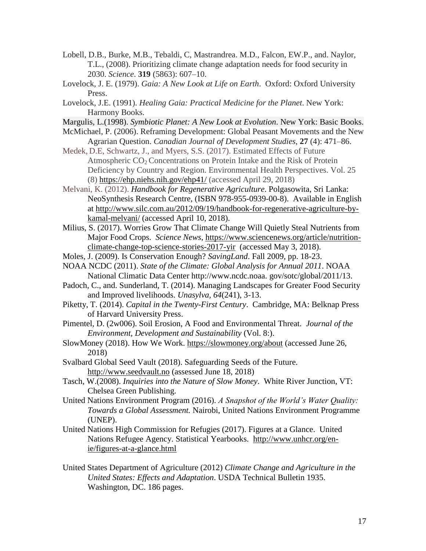- Lobell, D.B., Burke, M.B., Tebaldi, C, Mastrandrea. M.D., Falcon, EW.P., and. Naylor, T.L., (2008). Prioritizing climate change adaptation needs for food security in 2030. *Science*. **319** (5863): 607–10.
- Lovelock, J. E. (1979). *Gaia: A New Look at Life on Earth*. Oxford: Oxford University Press.
- Lovelock, J.E. (1991). *Healing Gaia: Practical Medicine for the Planet*. New York: Harmony Books.
- Margulis, L.(1998). *Symbiotic Planet: A New Look at Evolution*. New York: Basic Books.
- McMichael, P. (2006). Reframing Development: Global Peasant Movements and the New Agrarian Question. *Canadian Journal of Development Studies*, **27** (4): 471–86.
- Medek, D.E, Schwartz, J., and Myers, S.S. (2017). Estimated Effects of Future Atmospheric CO<sub>2</sub> Concentrations on Protein Intake and the Risk of Protein Deficiency by Country and Region. Environmental Health Perspectives. Vol. 25 (8) <https://ehp.niehs.nih.gov/ehp41/> (accessed April 29, 2018)
- Melvani, K. (2012). *Handbook for Regenerative Agriculture*. Polgasowita, Sri Lanka: NeoSynthesis Research Centre, (ISBN 978-955-0939-00-8). Available in English at [http://www.silc.com.au/2012/09/19/handbook-for-regenerative-agriculture-by](http://www.silc.com.au/2012/09/19/handbook-for-regenerative-agriculture-by-kamal-melvani/)[kamal-melvani/](http://www.silc.com.au/2012/09/19/handbook-for-regenerative-agriculture-by-kamal-melvani/) (accessed April 10, 2018).
- Milius, S. (2017). Worries Grow That Climate Change Will Quietly Steal Nutrients from Major Food Crops. *Science News*, [https://www.sciencenews.org/article/nutrition](https://www.sciencenews.org/article/nutrition-climate-change-top-science-stories-2017-yir)[climate-change-top-science-stories-2017-yir](https://www.sciencenews.org/article/nutrition-climate-change-top-science-stories-2017-yir) (accessed May 3, 2018).
- Moles, J. (2009). Is Conservation Enough? *SavingLand*. Fall 2009, pp. 18-23.
- NOAA NCDC (2011). *State of the Climate: Global Analysis for Annual 2011*. NOAA National Climatic Data Center http://www.ncdc.noaa. gov/sotc/global/2011/13.
- Padoch, C., and. Sunderland, T. (2014). Managing Landscapes for Greater Food Security and Improved livelihoods. *Unasylva, 64*(241), 3-13.
- Piketty, T. (2014). *Capital in the Twenty-First Century*. Cambridge, MA: Belknap Press of Harvard University Press.
- Pimentel, D. (2w006). Soil Erosion, A Food and Environmental Threat. *Journal of the Environment, Development and Sustainability* (Vol. 8:).
- SlowMoney (2018). How We Work.<https://slowmoney.org/about> (accessed June 26, 2018)
- Svalbard Global Seed Vault (2018). Safeguarding Seeds of the Future. [http://www.seedvault.no](http://www.seedvault.no/) (assessed June 18, 2018)
- Tasch, W.(2008). *Inquiries into the Nature of Slow Money*. White River Junction, VT: Chelsea Green Publishing.
- United Nations Environment Program (2016). *A Snapshot of the World's Water Quality: Towards a Global Assessment.* Nairobi, United Nations Environment Programme (UNEP).
- United Nations High Commission for Refugies (2017). Figures at a Glance. United Nations Refugee Agency. Statistical Yearbooks. [http://www.unhcr.org/en](http://www.unhcr.org/en-ie/figures-at-a-glance.html)[ie/figures-at-a-glance.html](http://www.unhcr.org/en-ie/figures-at-a-glance.html)
- United States Department of Agriculture (2012) *Climate Change and Agriculture in the United States: Effects and Adaptation*. USDA Technical Bulletin 1935. Washington, DC. 186 pages.